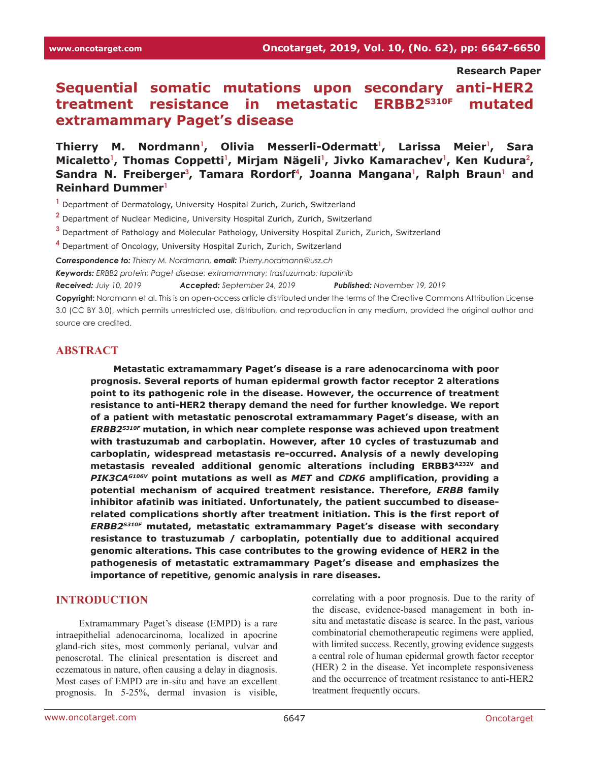**Research Paper**

# **Sequential somatic mutations upon secondary anti-HER2 treatment resistance in metastatic ERBB2S310F mutated extramammary Paget's disease**

**Thierry M. Nordmann<sup>1</sup> , Olivia Messerli-Odermatt<sup>1</sup> , Larissa Meier<sup>1</sup> , Sara**  Micaletto<sup>1</sup>, Thomas Coppetti<sup>1</sup>, Mirjam Nägeli<sup>1</sup>, Jivko Kamarachev<sup>1</sup>, Ken Kudura<sup>2</sup>, Sandra N. Freiberger<sup>3</sup>, Tamara Rordorf<sup>4</sup>, Joanna Mangana<sup>1</sup>, Ralph Braun<sup>1</sup> and **Reinhard Dummer<sup>1</sup>**

**1** Department of Dermatology, University Hospital Zurich, Zurich, Switzerland

- **2** Department of Nuclear Medicine, University Hospital Zurich, Zurich, Switzerland
- **3** Department of Pathology and Molecular Pathology, University Hospital Zurich, Zurich, Switzerland

**4** Department of Oncology, University Hospital Zurich, Zurich, Switzerland

*Correspondence to: Thierry M. Nordmann, email: Thierry.nordmann@usz.ch*

*Keywords: ERBB2 protein; Paget disease; extramammary; trastuzumab; lapatinib* 

*Received: July 10, 2019 Accepted: September 24, 2019 Published: November 19, 2019*

**Copyright:** Nordmann et al. This is an open-access article distributed under the terms of the Creative Commons Attribution License 3.0 (CC BY 3.0), which permits unrestricted use, distribution, and reproduction in any medium, provided the original author and source are credited.

# **ABSTRACT**

**Metastatic extramammary Paget's disease is a rare adenocarcinoma with poor prognosis. Several reports of human epidermal growth factor receptor 2 alterations point to its pathogenic role in the disease. However, the occurrence of treatment resistance to anti-HER2 therapy demand the need for further knowledge. We report of a patient with metastatic penoscrotal extramammary Paget's disease, with an**  *ERBB2S310F* **mutation, in which near complete response was achieved upon treatment with trastuzumab and carboplatin. However, after 10 cycles of trastuzumab and carboplatin, widespread metastasis re-occurred. Analysis of a newly developing metastasis revealed additional genomic alterations including ERBB3A232V and**  *PIK3CAG106V* **point mutations as well as** *MET* **and** *CDK6* **amplification, providing a potential mechanism of acquired treatment resistance. Therefore,** *ERBB* **family inhibitor afatinib was initiated. Unfortunately, the patient succumbed to diseaserelated complications shortly after treatment initiation. This is the first report of**  *ERBB2S310F* **mutated, metastatic extramammary Paget's disease with secondary resistance to trastuzumab / carboplatin, potentially due to additional acquired genomic alterations. This case contributes to the growing evidence of HER2 in the pathogenesis of metastatic extramammary Paget's disease and emphasizes the importance of repetitive, genomic analysis in rare diseases.**

# **INTRODUCTION**

Extramammary Paget's disease (EMPD) is a rare intraepithelial adenocarcinoma, localized in apocrine gland-rich sites, most commonly perianal, vulvar and penoscrotal. The clinical presentation is discreet and eczematous in nature, often causing a delay in diagnosis. Most cases of EMPD are in-situ and have an excellent prognosis. In 5-25%, dermal invasion is visible,

correlating with a poor prognosis. Due to the rarity of the disease, evidence-based management in both insitu and metastatic disease is scarce. In the past, various combinatorial chemotherapeutic regimens were applied, with limited success. Recently, growing evidence suggests a central role of human epidermal growth factor receptor (HER) 2 in the disease. Yet incomplete responsiveness and the occurrence of treatment resistance to anti-HER2 treatment frequently occurs.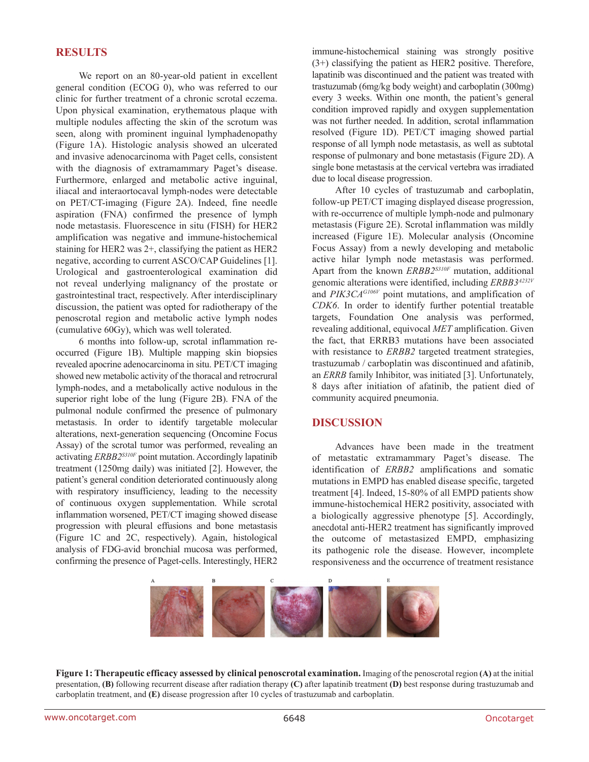# **RESULTS**

We report on an 80-year-old patient in excellent general condition (ECOG 0), who was referred to our clinic for further treatment of a chronic scrotal eczema. Upon physical examination, erythematous plaque with multiple nodules affecting the skin of the scrotum was seen, along with prominent inguinal lymphadenopathy (Figure 1A). Histologic analysis showed an ulcerated and invasive adenocarcinoma with Paget cells, consistent with the diagnosis of extramammary Paget's disease. Furthermore, enlarged and metabolic active inguinal, iliacal and interaortocaval lymph-nodes were detectable on PET/CT-imaging (Figure 2A). Indeed, fine needle aspiration (FNA) confirmed the presence of lymph node metastasis. Fluorescence in situ (FISH) for HER2 amplification was negative and immune-histochemical staining for HER2 was 2+, classifying the patient as HER2 negative, according to current ASCO/CAP Guidelines [1]. Urological and gastroenterological examination did not reveal underlying malignancy of the prostate or gastrointestinal tract, respectively. After interdisciplinary discussion, the patient was opted for radiotherapy of the penoscrotal region and metabolic active lymph nodes (cumulative 60Gy), which was well tolerated.

6 months into follow-up, scrotal inflammation reoccurred (Figure 1B). Multiple mapping skin biopsies revealed apocrine adenocarcinoma in situ. PET/CT imaging showed new metabolic activity of the thoracal and retrocrural lymph-nodes, and a metabolically active nodulous in the superior right lobe of the lung (Figure 2B). FNA of the pulmonal nodule confirmed the presence of pulmonary metastasis. In order to identify targetable molecular alterations, next-generation sequencing (Oncomine Focus Assay) of the scrotal tumor was performed, revealing an activating *ERBB2S310F* point mutation. Accordingly lapatinib treatment (1250mg daily) was initiated [2]. However, the patient's general condition deteriorated continuously along with respiratory insufficiency, leading to the necessity of continuous oxygen supplementation. While scrotal inflammation worsened, PET/CT imaging showed disease progression with pleural effusions and bone metastasis (Figure 1C and 2C, respectively). Again, histological analysis of FDG-avid bronchial mucosa was performed, confirming the presence of Paget-cells. Interestingly, HER2 immune-histochemical staining was strongly positive (3+) classifying the patient as HER2 positive. Therefore, lapatinib was discontinued and the patient was treated with trastuzumab (6mg/kg body weight) and carboplatin (300mg) every 3 weeks. Within one month, the patient's general condition improved rapidly and oxygen supplementation was not further needed. In addition, scrotal inflammation resolved (Figure 1D). PET/CT imaging showed partial response of all lymph node metastasis, as well as subtotal response of pulmonary and bone metastasis (Figure 2D). A single bone metastasis at the cervical vertebra was irradiated due to local disease progression.

After 10 cycles of trastuzumab and carboplatin, follow-up PET/CT imaging displayed disease progression, with re-occurrence of multiple lymph-node and pulmonary metastasis (Figure 2E). Scrotal inflammation was mildly increased (Figure 1E). Molecular analysis (Oncomine Focus Assay) from a newly developing and metabolic active hilar lymph node metastasis was performed. Apart from the known *ERBB2S310F* mutation, additional genomic alterations were identified, including *ERBB3A232V* and *PIK3CAG106V* point mutations, and amplification of *CDK6*. In order to identify further potential treatable targets, Foundation One analysis was performed, revealing additional, equivocal *MET* amplification. Given the fact, that ERRB3 mutations have been associated with resistance to *ERBB2* targeted treatment strategies, trastuzumab / carboplatin was discontinued and afatinib, an *ERRB* family Inhibitor, was initiated [3]. Unfortunately, 8 days after initiation of afatinib, the patient died of community acquired pneumonia.

# **DISCUSSION**

Advances have been made in the treatment of metastatic extramammary Paget's disease. The identification of *ERBB2* amplifications and somatic mutations in EMPD has enabled disease specific, targeted treatment [4]. Indeed, 15-80% of all EMPD patients show immune-histochemical HER2 positivity, associated with a biologically aggressive phenotype [5]. Accordingly, anecdotal anti-HER2 treatment has significantly improved the outcome of metastasized EMPD, emphasizing its pathogenic role the disease. However, incomplete responsiveness and the occurrence of treatment resistance



**Figure 1: Therapeutic efficacy assessed by clinical penoscrotal examination.** Imaging of the penoscrotal region **(A)** at the initial presentation, **(B)** following recurrent disease after radiation therapy **(C)** after lapatinib treatment **(D)** best response during trastuzumab and carboplatin treatment, and **(E)** disease progression after 10 cycles of trastuzumab and carboplatin.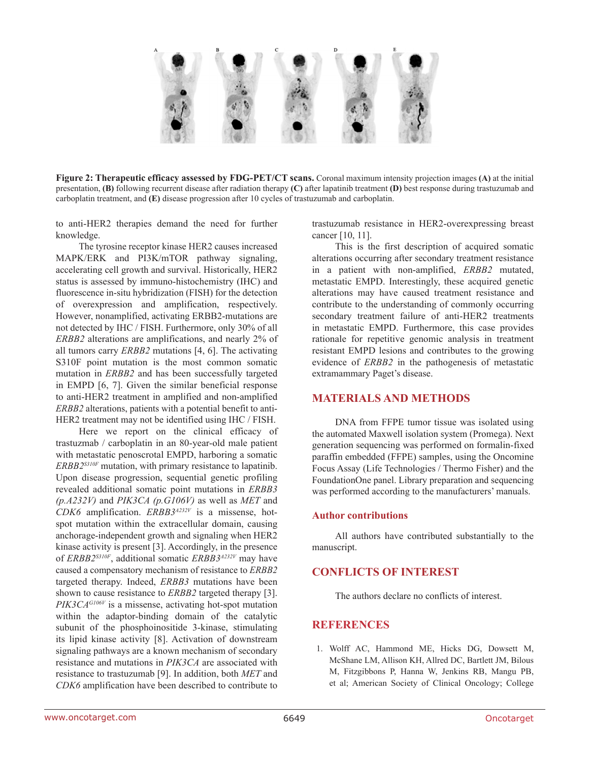

**Figure 2: Therapeutic efficacy assessed by FDG-PET/CT scans.** Coronal maximum intensity projection images **(A)** at the initial presentation, **(B)** following recurrent disease after radiation therapy **(C)** after lapatinib treatment **(D)** best response during trastuzumab and carboplatin treatment, and **(E)** disease progression after 10 cycles of trastuzumab and carboplatin.

to anti-HER2 therapies demand the need for further knowledge.

The tyrosine receptor kinase HER2 causes increased MAPK/ERK and PI3K/mTOR pathway signaling, accelerating cell growth and survival. Historically, HER2 status is assessed by immuno-histochemistry (IHC) and fluorescence in-situ hybridization (FISH) for the detection of overexpression and amplification, respectively. However, nonamplified, activating ERBB2-mutations are not detected by IHC / FISH. Furthermore, only 30% of all *ERBB2* alterations are amplifications, and nearly 2% of all tumors carry *ERBB2* mutations [4, 6]. The activating S310F point mutation is the most common somatic mutation in *ERBB2* and has been successfully targeted in EMPD [6, 7]. Given the similar beneficial response to anti-HER2 treatment in amplified and non-amplified *ERBB2* alterations, patients with a potential benefit to anti-HER2 treatment may not be identified using IHC / FISH.

Here we report on the clinical efficacy of trastuzmab / carboplatin in an 80-year-old male patient with metastatic penoscrotal EMPD, harboring a somatic *ERBB2S310F* mutation, with primary resistance to lapatinib. Upon disease progression, sequential genetic profiling revealed additional somatic point mutations in *ERBB3 (p.A232V)* and *PIK3CA (p.G106V)* as well as *MET* and *CDK6* amplification. *ERBB3A232V* is a missense, hotspot mutation within the extracellular domain, causing anchorage-independent growth and signaling when HER2 kinase activity is present [3]. Accordingly, in the presence of *ERBB2S310F*, additional somatic *ERBB3A232V* may have caused a compensatory mechanism of resistance to *ERBB2* targeted therapy. Indeed, *ERBB3* mutations have been shown to cause resistance to *ERBB2* targeted therapy [3]. *PIK3CAG106V* is a missense, activating hot-spot mutation within the adaptor-binding domain of the catalytic subunit of the phosphoinositide 3-kinase, stimulating its lipid kinase activity [8]. Activation of downstream signaling pathways are a known mechanism of secondary resistance and mutations in *PIK3CA* are associated with resistance to trastuzumab [9]. In addition, both *MET* and *CDK6* amplification have been described to contribute to

trastuzumab resistance in HER2-overexpressing breast cancer [10, 11].

This is the first description of acquired somatic alterations occurring after secondary treatment resistance in a patient with non-amplified, *ERBB2* mutated, metastatic EMPD. Interestingly, these acquired genetic alterations may have caused treatment resistance and contribute to the understanding of commonly occurring secondary treatment failure of anti-HER2 treatments in metastatic EMPD. Furthermore, this case provides rationale for repetitive genomic analysis in treatment resistant EMPD lesions and contributes to the growing evidence of *ERBB2* in the pathogenesis of metastatic extramammary Paget's disease.

# **MATERIALS AND METHODS**

DNA from FFPE tumor tissue was isolated using the automated Maxwell isolation system (Promega). Next generation sequencing was performed on formalin-fixed paraffin embedded (FFPE) samples, using the Oncomine Focus Assay (Life Technologies / Thermo Fisher) and the FoundationOne panel. Library preparation and sequencing was performed according to the manufacturers' manuals.

#### **Author contributions**

All authors have contributed substantially to the manuscript.

# **CONFLICTS OF INTEREST**

The authors declare no conflicts of interest.

# **REFERENCES**

1. Wolff AC, Hammond ME, Hicks DG, Dowsett M, McShane LM, Allison KH, Allred DC, Bartlett JM, Bilous M, Fitzgibbons P, Hanna W, Jenkins RB, Mangu PB, et al; American Society of Clinical Oncology; College